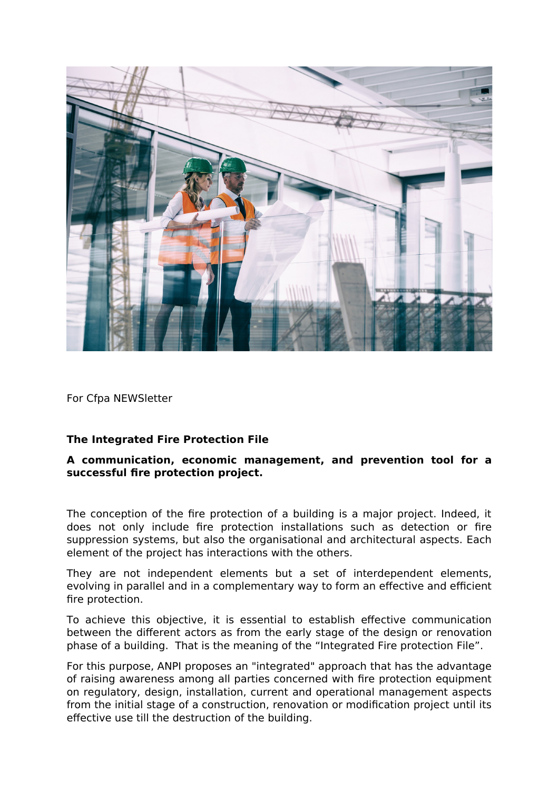

For Cfpa NEWSletter

## **The Integrated Fire Protection File**

## **A communication, economic management, and prevention tool for a successful fire protection project.**

The conception of the fire protection of a building is a major project. Indeed, it does not only include fire protection installations such as detection or fire suppression systems, but also the organisational and architectural aspects. Each element of the project has interactions with the others.

They are not independent elements but a set of interdependent elements, evolving in parallel and in a complementary way to form an effective and efficient fire protection.

To achieve this objective, it is essential to establish effective communication between the different actors as from the early stage of the design or renovation phase of a building. That is the meaning of the "Integrated Fire protection File".

For this purpose, ANPI proposes an "integrated" approach that has the advantage of raising awareness among all parties concerned with fire protection equipment on regulatory, design, installation, current and operational management aspects from the initial stage of a construction, renovation or modification project until its effective use till the destruction of the building.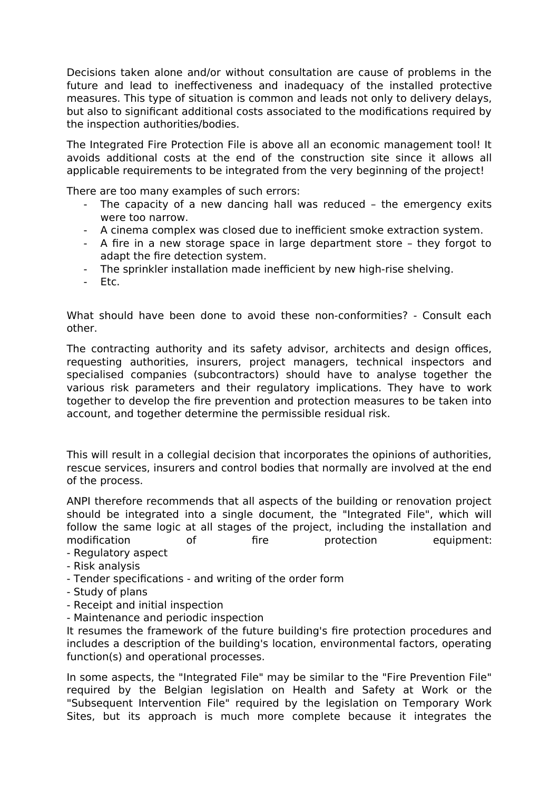Decisions taken alone and/or without consultation are cause of problems in the future and lead to ineffectiveness and inadequacy of the installed protective measures. This type of situation is common and leads not only to delivery delays, but also to significant additional costs associated to the modifications required by the inspection authorities/bodies.

The Integrated Fire Protection File is above all an economic management tool! It avoids additional costs at the end of the construction site since it allows all applicable requirements to be integrated from the very beginning of the project!

There are too many examples of such errors:

- The capacity of a new dancing hall was reduced the emergency exits were too narrow.
- A cinema complex was closed due to inefficient smoke extraction system.
- A fire in a new storage space in large department store they forgot to adapt the fire detection system.
- The sprinkler installation made inefficient by new high-rise shelving.
- Etc.

What should have been done to avoid these non-conformities? - Consult each other.

The contracting authority and its safety advisor, architects and design offices, requesting authorities, insurers, project managers, technical inspectors and specialised companies (subcontractors) should have to analyse together the various risk parameters and their regulatory implications. They have to work together to develop the fire prevention and protection measures to be taken into account, and together determine the permissible residual risk.

This will result in a collegial decision that incorporates the opinions of authorities, rescue services, insurers and control bodies that normally are involved at the end of the process.

ANPI therefore recommends that all aspects of the building or renovation project should be integrated into a single document, the "Integrated File", which will follow the same logic at all stages of the project, including the installation and modification of fire protection equipment:

- Regulatory aspect

- Risk analysis
- Tender specifications and writing of the order form
- Study of plans
- Receipt and initial inspection
- Maintenance and periodic inspection

It resumes the framework of the future building's fire protection procedures and includes a description of the building's location, environmental factors, operating function(s) and operational processes.

In some aspects, the "Integrated File" may be similar to the "Fire Prevention File" required by the Belgian legislation on Health and Safety at Work or the "Subsequent Intervention File" required by the legislation on Temporary Work Sites, but its approach is much more complete because it integrates the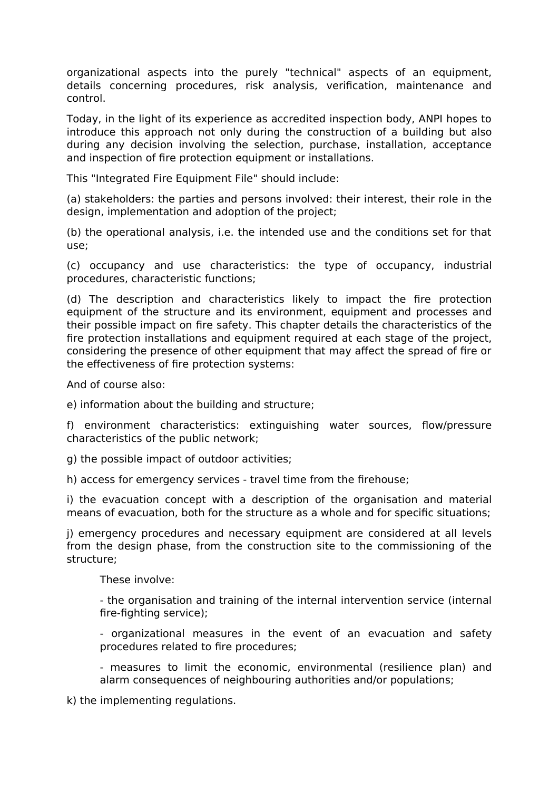organizational aspects into the purely "technical" aspects of an equipment, details concerning procedures, risk analysis, verification, maintenance and control.

Today, in the light of its experience as accredited inspection body, ANPI hopes to introduce this approach not only during the construction of a building but also during any decision involving the selection, purchase, installation, acceptance and inspection of fire protection equipment or installations.

This "Integrated Fire Equipment File" should include:

(a) stakeholders: the parties and persons involved: their interest, their role in the design, implementation and adoption of the project;

(b) the operational analysis, i.e. the intended use and the conditions set for that use;

(c) occupancy and use characteristics: the type of occupancy, industrial procedures, characteristic functions;

(d) The description and characteristics likely to impact the fire protection equipment of the structure and its environment, equipment and processes and their possible impact on fire safety. This chapter details the characteristics of the fire protection installations and equipment required at each stage of the project, considering the presence of other equipment that may affect the spread of fire or the effectiveness of fire protection systems:

And of course also:

e) information about the building and structure;

f) environment characteristics: extinguishing water sources, flow/pressure characteristics of the public network;

g) the possible impact of outdoor activities;

h) access for emergency services - travel time from the firehouse;

i) the evacuation concept with a description of the organisation and material means of evacuation, both for the structure as a whole and for specific situations;

j) emergency procedures and necessary equipment are considered at all levels from the design phase, from the construction site to the commissioning of the structure;

These involve:

- the organisation and training of the internal intervention service (internal fire-fighting service);

- organizational measures in the event of an evacuation and safety procedures related to fire procedures;

- measures to limit the economic, environmental (resilience plan) and alarm consequences of neighbouring authorities and/or populations;

k) the implementing regulations.